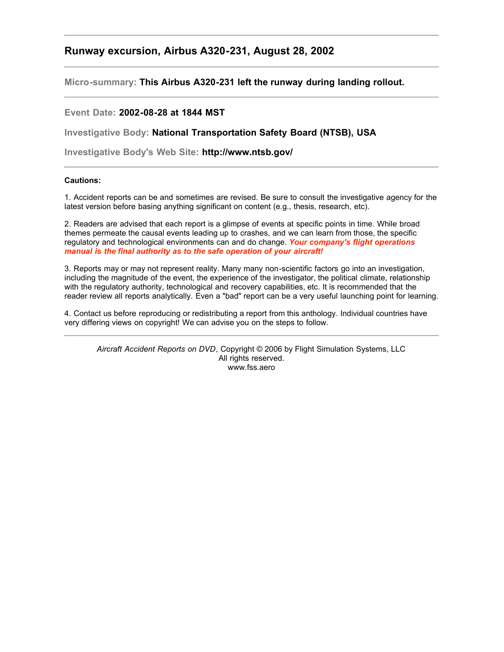# **Runway excursion, Airbus A320-231, August 28, 2002**

**Micro-summary: This Airbus A320-231 left the runway during landing rollout.**

## **Event Date: 2002-08-28 at 1844 MST**

**Investigative Body: National Transportation Safety Board (NTSB), USA**

**Investigative Body's Web Site: http://www.ntsb.gov/**

## **Cautions:**

1. Accident reports can be and sometimes are revised. Be sure to consult the investigative agency for the latest version before basing anything significant on content (e.g., thesis, research, etc).

2. Readers are advised that each report is a glimpse of events at specific points in time. While broad themes permeate the causal events leading up to crashes, and we can learn from those, the specific regulatory and technological environments can and do change. *Your company's flight operations manual is the final authority as to the safe operation of your aircraft!*

3. Reports may or may not represent reality. Many many non-scientific factors go into an investigation, including the magnitude of the event, the experience of the investigator, the political climate, relationship with the regulatory authority, technological and recovery capabilities, etc. It is recommended that the reader review all reports analytically. Even a "bad" report can be a very useful launching point for learning.

4. Contact us before reproducing or redistributing a report from this anthology. Individual countries have very differing views on copyright! We can advise you on the steps to follow.

*Aircraft Accident Reports on DVD*, Copyright © 2006 by Flight Simulation Systems, LLC All rights reserved. www.fss.aero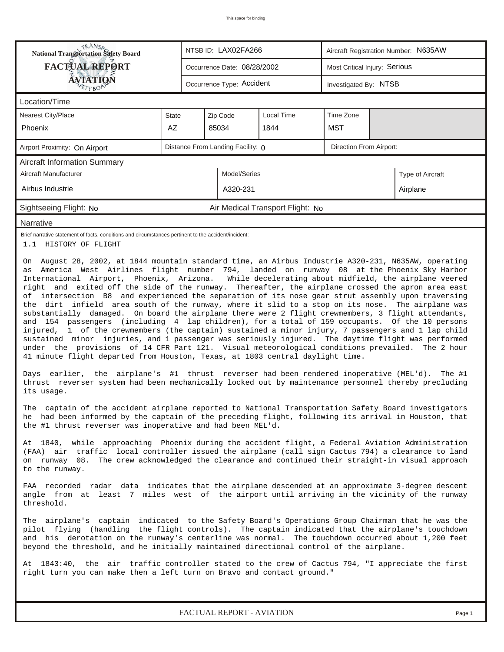| <b>National Transportation Safety Board</b>                                                                                                                                                                                                                                                                                                                                                                                                                                                                                                                                                                                                                                                                                                                                                                                                                                                                                                                                                                                                                                                                                                                                                                                                                                                                                                                                                                                                                                                                                                                                                                                                                                                                                                                                                                                                                                                                                                                                                                                                                                                                                                                                                                                                                                                                                                                                                                                                                                                                                                                                                                                                                                                                                                                                                                                                                       |       | NTSB ID: LAX02FA266<br>Aircraft Registration Number: N635AW |                                   |                                  |                         |                               |                  |  |  |
|-------------------------------------------------------------------------------------------------------------------------------------------------------------------------------------------------------------------------------------------------------------------------------------------------------------------------------------------------------------------------------------------------------------------------------------------------------------------------------------------------------------------------------------------------------------------------------------------------------------------------------------------------------------------------------------------------------------------------------------------------------------------------------------------------------------------------------------------------------------------------------------------------------------------------------------------------------------------------------------------------------------------------------------------------------------------------------------------------------------------------------------------------------------------------------------------------------------------------------------------------------------------------------------------------------------------------------------------------------------------------------------------------------------------------------------------------------------------------------------------------------------------------------------------------------------------------------------------------------------------------------------------------------------------------------------------------------------------------------------------------------------------------------------------------------------------------------------------------------------------------------------------------------------------------------------------------------------------------------------------------------------------------------------------------------------------------------------------------------------------------------------------------------------------------------------------------------------------------------------------------------------------------------------------------------------------------------------------------------------------------------------------------------------------------------------------------------------------------------------------------------------------------------------------------------------------------------------------------------------------------------------------------------------------------------------------------------------------------------------------------------------------------------------------------------------------------------------------------------------------|-------|-------------------------------------------------------------|-----------------------------------|----------------------------------|-------------------------|-------------------------------|------------------|--|--|
| <b>FACTUAL REPORT</b>                                                                                                                                                                                                                                                                                                                                                                                                                                                                                                                                                                                                                                                                                                                                                                                                                                                                                                                                                                                                                                                                                                                                                                                                                                                                                                                                                                                                                                                                                                                                                                                                                                                                                                                                                                                                                                                                                                                                                                                                                                                                                                                                                                                                                                                                                                                                                                                                                                                                                                                                                                                                                                                                                                                                                                                                                                             |       |                                                             | Occurrence Date: 08/28/2002       |                                  |                         | Most Critical Injury: Serious |                  |  |  |
| <b>ÁVIATIQÑ</b>                                                                                                                                                                                                                                                                                                                                                                                                                                                                                                                                                                                                                                                                                                                                                                                                                                                                                                                                                                                                                                                                                                                                                                                                                                                                                                                                                                                                                                                                                                                                                                                                                                                                                                                                                                                                                                                                                                                                                                                                                                                                                                                                                                                                                                                                                                                                                                                                                                                                                                                                                                                                                                                                                                                                                                                                                                                   |       |                                                             | Occurrence Type: Accident         |                                  |                         | Investigated By: NTSB         |                  |  |  |
| Location/Time                                                                                                                                                                                                                                                                                                                                                                                                                                                                                                                                                                                                                                                                                                                                                                                                                                                                                                                                                                                                                                                                                                                                                                                                                                                                                                                                                                                                                                                                                                                                                                                                                                                                                                                                                                                                                                                                                                                                                                                                                                                                                                                                                                                                                                                                                                                                                                                                                                                                                                                                                                                                                                                                                                                                                                                                                                                     |       |                                                             |                                   |                                  |                         |                               |                  |  |  |
| <b>Nearest City/Place</b>                                                                                                                                                                                                                                                                                                                                                                                                                                                                                                                                                                                                                                                                                                                                                                                                                                                                                                                                                                                                                                                                                                                                                                                                                                                                                                                                                                                                                                                                                                                                                                                                                                                                                                                                                                                                                                                                                                                                                                                                                                                                                                                                                                                                                                                                                                                                                                                                                                                                                                                                                                                                                                                                                                                                                                                                                                         | State |                                                             | Zip Code                          | <b>Local Time</b>                | Time Zone               |                               |                  |  |  |
| <b>Phoenix</b>                                                                                                                                                                                                                                                                                                                                                                                                                                                                                                                                                                                                                                                                                                                                                                                                                                                                                                                                                                                                                                                                                                                                                                                                                                                                                                                                                                                                                                                                                                                                                                                                                                                                                                                                                                                                                                                                                                                                                                                                                                                                                                                                                                                                                                                                                                                                                                                                                                                                                                                                                                                                                                                                                                                                                                                                                                                    | AZ    |                                                             | 85034                             | 1844                             | <b>MST</b>              |                               |                  |  |  |
| Airport Proximity: On Airport                                                                                                                                                                                                                                                                                                                                                                                                                                                                                                                                                                                                                                                                                                                                                                                                                                                                                                                                                                                                                                                                                                                                                                                                                                                                                                                                                                                                                                                                                                                                                                                                                                                                                                                                                                                                                                                                                                                                                                                                                                                                                                                                                                                                                                                                                                                                                                                                                                                                                                                                                                                                                                                                                                                                                                                                                                     |       |                                                             | Distance From Landing Facility: 0 |                                  | Direction From Airport: |                               |                  |  |  |
| <b>Aircraft Information Summary</b>                                                                                                                                                                                                                                                                                                                                                                                                                                                                                                                                                                                                                                                                                                                                                                                                                                                                                                                                                                                                                                                                                                                                                                                                                                                                                                                                                                                                                                                                                                                                                                                                                                                                                                                                                                                                                                                                                                                                                                                                                                                                                                                                                                                                                                                                                                                                                                                                                                                                                                                                                                                                                                                                                                                                                                                                                               |       |                                                             |                                   |                                  |                         |                               |                  |  |  |
| Aircraft Manufacturer                                                                                                                                                                                                                                                                                                                                                                                                                                                                                                                                                                                                                                                                                                                                                                                                                                                                                                                                                                                                                                                                                                                                                                                                                                                                                                                                                                                                                                                                                                                                                                                                                                                                                                                                                                                                                                                                                                                                                                                                                                                                                                                                                                                                                                                                                                                                                                                                                                                                                                                                                                                                                                                                                                                                                                                                                                             |       |                                                             | Model/Series                      |                                  |                         |                               | Type of Aircraft |  |  |
| Airbus Industrie                                                                                                                                                                                                                                                                                                                                                                                                                                                                                                                                                                                                                                                                                                                                                                                                                                                                                                                                                                                                                                                                                                                                                                                                                                                                                                                                                                                                                                                                                                                                                                                                                                                                                                                                                                                                                                                                                                                                                                                                                                                                                                                                                                                                                                                                                                                                                                                                                                                                                                                                                                                                                                                                                                                                                                                                                                                  |       |                                                             | A320-231                          |                                  |                         |                               | Airplane         |  |  |
| Sightseeing Flight: No                                                                                                                                                                                                                                                                                                                                                                                                                                                                                                                                                                                                                                                                                                                                                                                                                                                                                                                                                                                                                                                                                                                                                                                                                                                                                                                                                                                                                                                                                                                                                                                                                                                                                                                                                                                                                                                                                                                                                                                                                                                                                                                                                                                                                                                                                                                                                                                                                                                                                                                                                                                                                                                                                                                                                                                                                                            |       |                                                             |                                   | Air Medical Transport Flight: No |                         |                               |                  |  |  |
| Narrative                                                                                                                                                                                                                                                                                                                                                                                                                                                                                                                                                                                                                                                                                                                                                                                                                                                                                                                                                                                                                                                                                                                                                                                                                                                                                                                                                                                                                                                                                                                                                                                                                                                                                                                                                                                                                                                                                                                                                                                                                                                                                                                                                                                                                                                                                                                                                                                                                                                                                                                                                                                                                                                                                                                                                                                                                                                         |       |                                                             |                                   |                                  |                         |                               |                  |  |  |
| Brief narrative statement of facts, conditions and circumstances pertinent to the accident/incident:<br>1.1 HISTORY OF FLIGHT                                                                                                                                                                                                                                                                                                                                                                                                                                                                                                                                                                                                                                                                                                                                                                                                                                                                                                                                                                                                                                                                                                                                                                                                                                                                                                                                                                                                                                                                                                                                                                                                                                                                                                                                                                                                                                                                                                                                                                                                                                                                                                                                                                                                                                                                                                                                                                                                                                                                                                                                                                                                                                                                                                                                     |       |                                                             |                                   |                                  |                         |                               |                  |  |  |
| On August 28, 2002, at 1844 mountain standard time, an Airbus Industrie A320-231, N635AW, operating<br>as America West Airlines flight number 794, landed on runway 08 at the Phoenix Sky Harbor<br>International Airport, Phoenix, Arizona. While decelerating about midfield, the airplane veered<br>right and exited off the side of the runway. Thereafter, the airplane crossed the apron area east<br>of intersection B8 and experienced the separation of its nose gear strut assembly upon traversing<br>the dirt infield area south of the runway, where it slid to a stop on its nose. The airplane was<br>substantially damaged. On board the airplane there were 2 flight crewmembers, 3 flight attendants,<br>and 154 passengers (including 4 lap children), for a total of 159 occupants. Of the 10 persons<br>injured, 1 of the crewmembers (the captain) sustained a minor injury, 7 passengers and 1 lap child<br>sustained minor injuries, and 1 passenger was seriously injured. The daytime flight was performed<br>under the provisions of 14 CFR Part 121. Visual meteorological conditions prevailed. The 2 hour<br>41 minute flight departed from Houston, Texas, at 1803 central daylight time.<br>Days earlier, the airplane's #1 thrust reverser had been rendered inoperative (MEL'd). The #1<br>thrust reverser system had been mechanically locked out by maintenance personnel thereby precluding<br>its usage.<br>The captain of the accident airplane reported to National Transportation Safety Board investigators<br>he had been informed by the captain of the preceding flight, following its arrival in Houston, that<br>the #1 thrust reverser was inoperative and had been MEL'd.<br>At 1840, while approaching Phoenix during the accident flight, a Federal Aviation Administration<br>(FAA) air traffic local controller issued the airplane (call sign Cactus 794) a clearance to land<br>on runway 08. The crew acknowledged the clearance and continued their straight-in visual approach<br>to the runway.<br>FAA recorded radar data indicates that the airplane descended at an approximate 3-degree descent<br>angle from at least 7 miles west of the airport until arriving in the vicinity of the runway<br>threshold.<br>The airplane's captain indicated to the Safety Board's Operations Group Chairman that he was the<br>pilot flying (handling the flight controls). The captain indicated that the airplane's touchdown<br>and his derotation on the runway's centerline was normal. The touchdown occurred about 1,200 feet<br>beyond the threshold, and he initially maintained directional control of the airplane.<br>At 1843:40, the air traffic controller stated to the crew of Cactus 794, "I appreciate the first<br>right turn you can make then a left turn on Bravo and contact ground." |       |                                                             |                                   |                                  |                         |                               |                  |  |  |

*FACTUAL REPORT - AVIATION Page 1*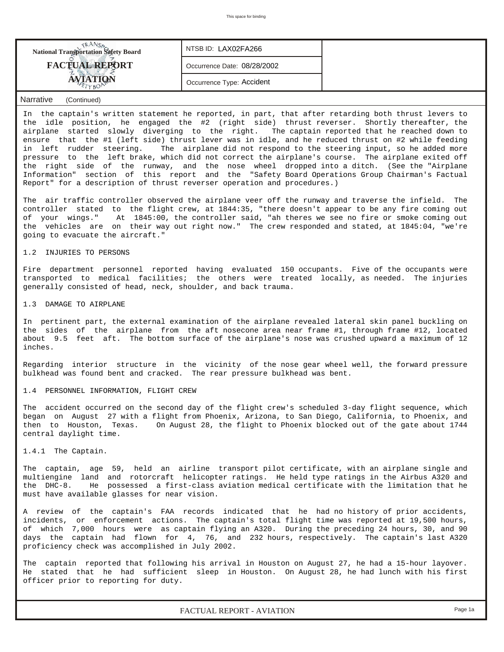| <b>National Transportation Safety Board</b> | NTSB ID: LAX02FA266         |  |
|---------------------------------------------|-----------------------------|--|
| <b>FACTUAL REPORT</b>                       | Occurrence Date: 08/28/2002 |  |
| <b>AVIATION</b>                             | Occurrence Type: Accident   |  |
| Narrative<br>(Continued)                    |                             |  |

In the captain's written statement he reported, in part, that after retarding both thrust levers to the idle position, he engaged the #2 (right side) thrust reverser. Shortly thereafter, the airplane started slowly diverging to the right. The captain reported that he reached down to ensure that the #1 (left side) thrust lever was in idle, and he reduced thrust on #2 while feeding in left rudder steering. The airplane did not respond to the steering input, so he added more pressure to the left brake, which did not correct the airplane's course. The airplane exited off the right side of the runway, and the nose wheel dropped into a ditch. (See the "Airplane Information" section of this report and the "Safety Board Operations Group Chairman's Factual Report" for a description of thrust reverser operation and procedures.)

The air traffic controller observed the airplane veer off the runway and traverse the infield. The controller stated to the flight crew, at 1844:35, "there doesn't appear to be any fire coming out of your wings." At 1845:00, the controller said, "ah theres we see no fire or smoke coming out the vehicles are on their way out right now." The crew responded and stated, at 1845:04, "we're going to evacuate the aircraft."

1.2 INJURIES TO PERSONS

Fire department personnel reported having evaluated 150 occupants. Five of the occupants were transported to medical facilities; the others were treated locally, as needed. The injuries generally consisted of head, neck, shoulder, and back trauma.

1.3 DAMAGE TO AIRPLANE

In pertinent part, the external examination of the airplane revealed lateral skin panel buckling on the sides of the airplane from the aft nosecone area near frame #1, through frame #12, located about 9.5 feet aft. The bottom surface of the airplane's nose was crushed upward a maximum of 12 inches.

Regarding interior structure in the vicinity of the nose gear wheel well, the forward pressure bulkhead was found bent and cracked. The rear pressure bulkhead was bent.

1.4 PERSONNEL INFORMATION, FLIGHT CREW

The accident occurred on the second day of the flight crew's scheduled 3-day flight sequence, which began on August 27 with a flight from Phoenix, Arizona, to San Diego, California, to Phoenix, and then to Houston, Texas. On August 28, the flight to Phoenix blocked out of the gate about 1744 central daylight time.

1.4.1 The Captain.

The captain, age 59, held an airline transport pilot certificate, with an airplane single and multiengine land and rotorcraft helicopter ratings. He held type ratings in the Airbus A320 and the DHC-8. He possessed a first-class aviation medical certificate with the limitation that he must have available glasses for near vision.

A review of the captain's FAA records indicated that he had no history of prior accidents, incidents, or enforcement actions. The captain's total flight time was reported at 19,500 hours, of which 7,000 hours were as captain flying an A320. During the preceding 24 hours, 30, and 90 days the captain had flown for 4, 76, and 232 hours, respectively. The captain's last A320 proficiency check was accomplished in July 2002.

The captain reported that following his arrival in Houston on August 27, he had a 15-hour layover. He stated that he had sufficient sleep in Houston. On August 28, he had lunch with his first officer prior to reporting for duty.

*FACTUAL REPORT - AVIATION Page 1a*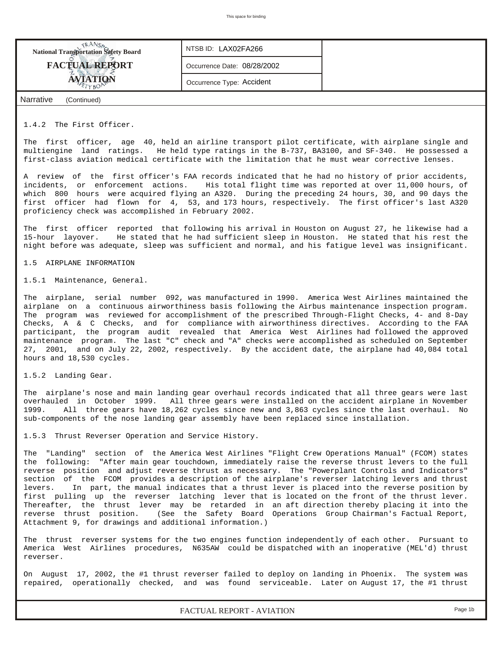

## 1.4.2 The First Officer.

The first officer, age 40, held an airline transport pilot certificate, with airplane single and multiengine land ratings. He held type ratings in the B-737, BA3100, and SF-340. He possessed a first-class aviation medical certificate with the limitation that he must wear corrective lenses.

A review of the first officer's FAA records indicated that he had no history of prior accidents, incidents, or enforcement actions. His total flight time was reported at over 11,000 hours, of which 800 hours were acquired flying an A320. During the preceding 24 hours, 30, and 90 days the first officer had flown for 4, 53, and 173 hours, respectively. The first officer's last A320 proficiency check was accomplished in February 2002.

The first officer reported that following his arrival in Houston on August 27, he likewise had a 15-hour layover. He stated that he had sufficient sleep in Houston. He stated that his rest the night before was adequate, sleep was sufficient and normal, and his fatigue level was insignificant.

#### 1.5 AIRPLANE INFORMATION

1.5.1 Maintenance, General.

The airplane, serial number 092, was manufactured in 1990. America West Airlines maintained the airplane on a continuous airworthiness basis following the Airbus maintenance inspection program. The program was reviewed for accomplishment of the prescribed Through-Flight Checks, 4- and 8-Day Checks, A & C Checks, and for compliance with airworthiness directives. According to the FAA participant, the program audit revealed that America West Airlines had followed the approved maintenance program. The last "C" check and "A" checks were accomplished as scheduled on September 27, 2001, and on July 22, 2002, respectively. By the accident date, the airplane had 40,084 total hours and 18,530 cycles.

#### 1.5.2 Landing Gear.

The airplane's nose and main landing gear overhaul records indicated that all three gears were last overhauled in October 1999. All three gears were installed on the accident airplane in November 1999. All three gears have 18,262 cycles since new and 3,863 cycles since the last overhaul. No sub-components of the nose landing gear assembly have been replaced since installation.

1.5.3 Thrust Reverser Operation and Service History.

The "Landing" section of the America West Airlines "Flight Crew Operations Manual" (FCOM) states the following: "After main gear touchdown, immediately raise the reverse thrust levers to the full reverse position and adjust reverse thrust as necessary. The "Powerplant Controls and Indicators" section of the FCOM provides a description of the airplane's reverser latching levers and thrust levers. In part, the manual indicates that a thrust lever is placed into the reverse position by first pulling up the reverser latching lever that is located on the front of the thrust lever. Thereafter, the thrust lever may be retarded in an aft direction thereby placing it into the reverse thrust position. (See the Safety Board Operations Group Chairman's Factual Report, Attachment 9, for drawings and additional information.)

The thrust reverser systems for the two engines function independently of each other. Pursuant to America West Airlines procedures, N635AW could be dispatched with an inoperative (MEL'd) thrust reverser.

On August 17, 2002, the #1 thrust reverser failed to deploy on landing in Phoenix. The system was repaired, operationally checked, and was found serviceable. Later on August 17, the #1 thrust

*FACTUAL REPORT - AVIATION Page 1b*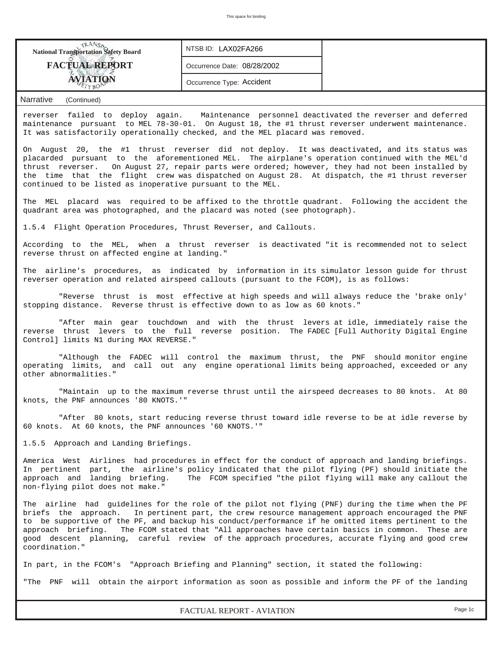| This space for binding                                                                                                                                                                                                                                                                                                                                                                                                                                                                                                                         |                                                                                                                                                                                                                                                                         |                                                                                             |  |  |  |  |  |  |  |
|------------------------------------------------------------------------------------------------------------------------------------------------------------------------------------------------------------------------------------------------------------------------------------------------------------------------------------------------------------------------------------------------------------------------------------------------------------------------------------------------------------------------------------------------|-------------------------------------------------------------------------------------------------------------------------------------------------------------------------------------------------------------------------------------------------------------------------|---------------------------------------------------------------------------------------------|--|--|--|--|--|--|--|
|                                                                                                                                                                                                                                                                                                                                                                                                                                                                                                                                                |                                                                                                                                                                                                                                                                         |                                                                                             |  |  |  |  |  |  |  |
| <b>National Transportation Safety Board</b>                                                                                                                                                                                                                                                                                                                                                                                                                                                                                                    | NTSB ID: LAX02FA266                                                                                                                                                                                                                                                     |                                                                                             |  |  |  |  |  |  |  |
| <b>FACTUAL REPORT</b>                                                                                                                                                                                                                                                                                                                                                                                                                                                                                                                          | Occurrence Date: 08/28/2002                                                                                                                                                                                                                                             |                                                                                             |  |  |  |  |  |  |  |
| <b>AVIATION</b><br>YRO                                                                                                                                                                                                                                                                                                                                                                                                                                                                                                                         | Occurrence Type: Accident                                                                                                                                                                                                                                               |                                                                                             |  |  |  |  |  |  |  |
| <b>Narrative</b><br>(Continued)                                                                                                                                                                                                                                                                                                                                                                                                                                                                                                                |                                                                                                                                                                                                                                                                         |                                                                                             |  |  |  |  |  |  |  |
| reverser failed to deploy again.<br>Maintenance personnel deactivated the reverser and deferred<br>maintenance pursuant to MEL 78-30-01. On August 18, the #1 thrust reverser underwent maintenance.<br>It was satisfactorily operationally checked, and the MEL placard was removed.                                                                                                                                                                                                                                                          |                                                                                                                                                                                                                                                                         |                                                                                             |  |  |  |  |  |  |  |
| On August 20, the #1 thrust reverser did not deploy. It was deactivated, and its status was<br>placarded pursuant to the aforementioned MEL. The airplane's operation continued with the MEL'd<br>On August 27, repair parts were ordered; however, they had not been installed by<br>thrust reverser.<br>the time that the flight crew was dispatched on August 28. At dispatch, the #1 thrust reverser<br>continued to be listed as inoperative pursuant to the MEL.                                                                         |                                                                                                                                                                                                                                                                         |                                                                                             |  |  |  |  |  |  |  |
| The MEL placard was required to be affixed to the throttle quadrant. Following the accident the<br>quadrant area was photographed, and the placard was noted (see photograph).                                                                                                                                                                                                                                                                                                                                                                 |                                                                                                                                                                                                                                                                         |                                                                                             |  |  |  |  |  |  |  |
| 1.5.4 Flight Operation Procedures, Thrust Reverser, and Callouts.                                                                                                                                                                                                                                                                                                                                                                                                                                                                              |                                                                                                                                                                                                                                                                         |                                                                                             |  |  |  |  |  |  |  |
|                                                                                                                                                                                                                                                                                                                                                                                                                                                                                                                                                | According to the MEL, when a thrust reverser is deactivated "it is recommended not to select<br>reverse thrust on affected engine at landing."                                                                                                                          |                                                                                             |  |  |  |  |  |  |  |
| The airline's procedures, as indicated by information in its simulator lesson quide for thrust<br>reverser operation and related airspeed callouts (pursuant to the FCOM), is as follows:                                                                                                                                                                                                                                                                                                                                                      |                                                                                                                                                                                                                                                                         |                                                                                             |  |  |  |  |  |  |  |
| "Reverse thrust is most effective at high speeds and will always reduce the 'brake only'<br>stopping distance. Reverse thrust is effective down to as low as 60 knots."                                                                                                                                                                                                                                                                                                                                                                        |                                                                                                                                                                                                                                                                         |                                                                                             |  |  |  |  |  |  |  |
| "After main gear touchdown and with the thrust levers at idle, immediately raise the<br>reverse thrust levers to the full reverse position. The FADEC [Full Authority Digital Engine<br>Control] limits N1 during MAX REVERSE."                                                                                                                                                                                                                                                                                                                |                                                                                                                                                                                                                                                                         |                                                                                             |  |  |  |  |  |  |  |
| "Although the FADEC<br>operating limits, and call out any engine operational limits being approached, exceeded or any<br>other abnormalities."                                                                                                                                                                                                                                                                                                                                                                                                 |                                                                                                                                                                                                                                                                         | will control the maximum thrust, the PNF should monitor engine                              |  |  |  |  |  |  |  |
| knots, the PNF announces '80 KNOTS.'"                                                                                                                                                                                                                                                                                                                                                                                                                                                                                                          |                                                                                                                                                                                                                                                                         | "Maintain up to the maximum reverse thrust until the airspeed decreases to 80 knots. At 80  |  |  |  |  |  |  |  |
| 60 knots. At 60 knots, the PNF announces '60 KNOTS.'"                                                                                                                                                                                                                                                                                                                                                                                                                                                                                          |                                                                                                                                                                                                                                                                         | "After 80 knots, start reducing reverse thrust toward idle reverse to be at idle reverse by |  |  |  |  |  |  |  |
| 1.5.5 Approach and Landing Briefings.                                                                                                                                                                                                                                                                                                                                                                                                                                                                                                          |                                                                                                                                                                                                                                                                         |                                                                                             |  |  |  |  |  |  |  |
| approach and landing briefing.<br>non-flying pilot does not make."                                                                                                                                                                                                                                                                                                                                                                                                                                                                             | America West Airlines had procedures in effect for the conduct of approach and landing briefings.<br>In pertinent part, the airline's policy indicated that the pilot flying (PF) should initiate the<br>The FCOM specified "the pilot flying will make any callout the |                                                                                             |  |  |  |  |  |  |  |
| The airline had guidelines for the role of the pilot not flying (PNF) during the time when the PF<br>briefs the approach.<br>In pertinent part, the crew resource management approach encouraged the PNF<br>to be supportive of the PF, and backup his conduct/performance if he omitted items pertinent to the<br>approach briefing.<br>The FCOM stated that "All approaches have certain basics in common.<br>These are<br>good descent planning, careful review of the approach procedures, accurate flying and good crew<br>coordination." |                                                                                                                                                                                                                                                                         |                                                                                             |  |  |  |  |  |  |  |
| In part, in the FCOM's "Approach Briefing and Planning" section, it stated the following:                                                                                                                                                                                                                                                                                                                                                                                                                                                      |                                                                                                                                                                                                                                                                         |                                                                                             |  |  |  |  |  |  |  |
| "The PNF                                                                                                                                                                                                                                                                                                                                                                                                                                                                                                                                       |                                                                                                                                                                                                                                                                         | will obtain the airport information as soon as possible and inform the PF of the landing    |  |  |  |  |  |  |  |
|                                                                                                                                                                                                                                                                                                                                                                                                                                                                                                                                                | FACTUAL REPORT - AVIATION                                                                                                                                                                                                                                               | Page 1c                                                                                     |  |  |  |  |  |  |  |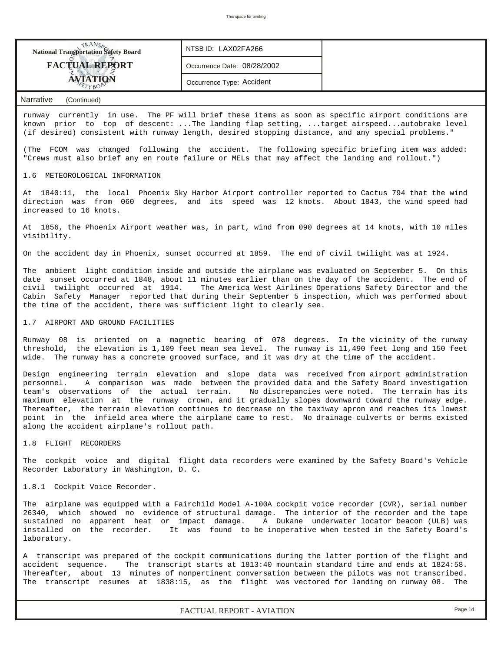| <b>National Transportation Safety Board</b> | NTSB ID: LAX02FA266         |  |
|---------------------------------------------|-----------------------------|--|
| <b>FACTUAL REPORT</b>                       | Occurrence Date: 08/28/2002 |  |
| <b>AVIATION</b>                             | Occurrence Type: Accident   |  |
| <b>Narrative</b><br>(Continued)             |                             |  |

runway currently in use. The PF will brief these items as soon as specific airport conditions are known prior to top of descent: ...The landing flap setting, ...target airspeed...autobrake level (if desired) consistent with runway length, desired stopping distance, and any special problems."

(The FCOM was changed following the accident. The following specific briefing item was added: "Crews must also brief any en route failure or MELs that may affect the landing and rollout.")

#### 1.6 METEOROLOGICAL INFORMATION

At 1840:11, the local Phoenix Sky Harbor Airport controller reported to Cactus 794 that the wind direction was from 060 degrees, and its speed was 12 knots. About 1843, the wind speed had increased to 16 knots.

At 1856, the Phoenix Airport weather was, in part, wind from 090 degrees at 14 knots, with 10 miles visibility.

On the accident day in Phoenix, sunset occurred at 1859. The end of civil twilight was at 1924.

The ambient light condition inside and outside the airplane was evaluated on September 5. On this date sunset occurred at 1848, about 11 minutes earlier than on the day of the accident. The end of civil twilight occurred at 1914. The America West Airlines Operations Safety Director and the Cabin Safety Manager reported that during their September 5 inspection, which was performed about the time of the accident, there was sufficient light to clearly see.

## 1.7 AIRPORT AND GROUND FACILITIES

Runway 08 is oriented on a magnetic bearing of 078 degrees. In the vicinity of the runway threshold, the elevation is 1,109 feet mean sea level. The runway is 11,490 feet long and 150 feet wide. The runway has a concrete grooved surface, and it was dry at the time of the accident.

Design engineering terrain elevation and slope data was received from airport administration personnel. A comparison was made between the provided data and the Safety Board investigation -<br>team's observations of the actual terrain. No discrepancies were noted. The terrain has its maximum elevation at the runway crown, and it gradually slopes downward toward the runway edge. Thereafter, the terrain elevation continues to decrease on the taxiway apron and reaches its lowest point in the infield area where the airplane came to rest. No drainage culverts or berms existed along the accident airplane's rollout path.

1.8 FLIGHT RECORDERS

The cockpit voice and digital flight data recorders were examined by the Safety Board's Vehicle Recorder Laboratory in Washington, D. C.

### 1.8.1 Cockpit Voice Recorder.

The airplane was equipped with a Fairchild Model A-100A cockpit voice recorder (CVR), serial number 26340, which showed no evidence of structural damage. The interior of the recorder and the tape sustained no apparent heat or impact damage. A Dukane underwater locator beacon (ULB) was<br>installed on the recorder. It was found to be inoperative when tested in the Safety Board's It was found to be inoperative when tested in the Safety Board's laboratory.

A transcript was prepared of the cockpit communications during the latter portion of the flight and accident sequence. The transcript starts at 1813:40 mountain standard time and ends at 1824:58. Thereafter, about 13 minutes of nonpertinent conversation between the pilots was not transcribed. The transcript resumes at 1838:15, as the flight was vectored for landing on runway 08. The

*FACTUAL REPORT - AVIATION Page 1d*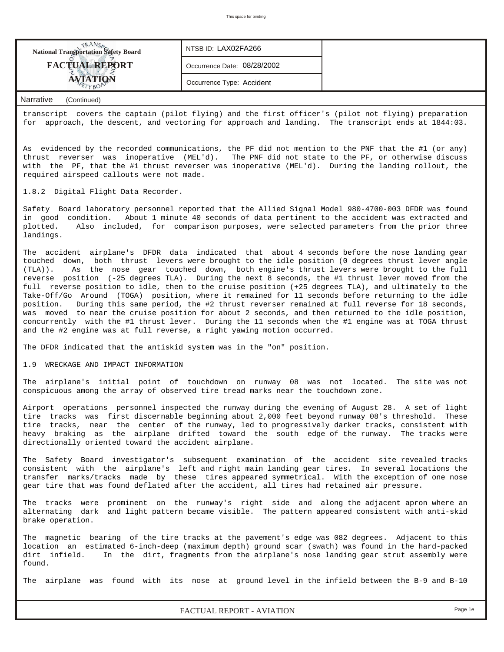| <b>FACTUAL REPORT</b><br>Occurrence Date: 08/28/2002 |  |
|------------------------------------------------------|--|
| Occurrence Type: Accident                            |  |

transcript covers the captain (pilot flying) and the first officer's (pilot not flying) preparation for approach, the descent, and vectoring for approach and landing. The transcript ends at 1844:03.

As evidenced by the recorded communications, the PF did not mention to the PNF that the #1 (or any) thrust reverser was inoperative (MEL'd). The PNF did not state to the PF, or otherwise discuss with the PF, that the #1 thrust reverser was inoperative (MEL'd). During the landing rollout, the required airspeed callouts were not made.

1.8.2 Digital Flight Data Recorder.

Safety Board laboratory personnel reported that the Allied Signal Model 980-4700-003 DFDR was found in good condition. About 1 minute 40 seconds of data pertinent to the accident was extracted and plotted. Also included, for comparison purposes, were selected parameters from the prior three landings.

The accident airplane's DFDR data indicated that about 4 seconds before the nose landing gear touched down, both thrust levers were brought to the idle position (0 degrees thrust lever angle (TLA)). As the nose gear touched down, both engine's thrust levers were brought to the full reverse position (-25 degrees TLA). During the next 8 seconds, the #1 thrust lever moved from the full reverse position to idle, then to the cruise position (+25 degrees TLA), and ultimately to the Take-Off/Go Around (TOGA) position, where it remained for 11 seconds before returning to the idle position. During this same period, the #2 thrust reverser remained at full reverse for 18 seconds, was moved to near the cruise position for about 2 seconds, and then returned to the idle position, concurrently with the #1 thrust lever. During the 11 seconds when the #1 engine was at TOGA thrust and the #2 engine was at full reverse, a right yawing motion occurred.

The DFDR indicated that the antiskid system was in the "on" position.

#### 1.9 WRECKAGE AND IMPACT INFORMATION

The airplane's initial point of touchdown on runway 08 was not located. The site was not conspicuous among the array of observed tire tread marks near the touchdown zone.

Airport operations personnel inspected the runway during the evening of August 28. A set of light tire tracks was first discernable beginning about 2,000 feet beyond runway 08's threshold. These tire tracks, near the center of the runway, led to progressively darker tracks, consistent with heavy braking as the airplane drifted toward the south edge of the runway. The tracks were directionally oriented toward the accident airplane.

The Safety Board investigator's subsequent examination of the accident site revealed tracks consistent with the airplane's left and right main landing gear tires. In several locations the transfer marks/tracks made by these tires appeared symmetrical. With the exception of one nose gear tire that was found deflated after the accident, all tires had retained air pressure.

The tracks were prominent on the runway's right side and along the adjacent apron where an alternating dark and light pattern became visible. The pattern appeared consistent with anti-skid brake operation.

The magnetic bearing of the tire tracks at the pavement's edge was 082 degrees. Adjacent to this location an estimated 6-inch-deep (maximum depth) ground scar (swath) was found in the hard-packed dirt infield. In the dirt, fragments from the airplane's nose landing gear strut assembly were found.

The airplane was found with its nose at ground level in the infield between the B-9 and B-10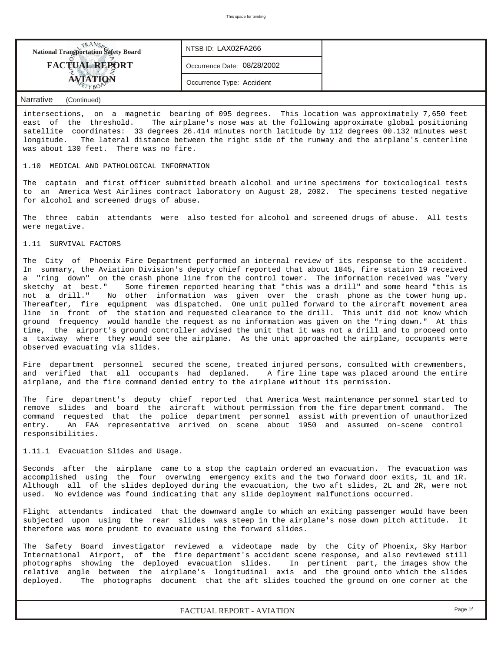| <b>National Transportation Safety Board</b> | NTSB ID: LAX02FA266         |  |
|---------------------------------------------|-----------------------------|--|
| <b>FACTUAL REPORT</b>                       | Occurrence Date: 08/28/2002 |  |
| <b>TETYBOR</b>                              | Occurrence Type: Accident   |  |

intersections, on a magnetic bearing of 095 degrees. This location was approximately 7,650 feet east of the threshold. The airplane's nose was at the following approximate global positioning satellite coordinates: 33 degrees 26.414 minutes north latitude by 112 degrees 00.132 minutes west longitude. The lateral distance between the right side of the runway and the airplane's centerline was about 130 feet. There was no fire.

## 1.10 MEDICAL AND PATHOLOGICAL INFORMATION

The captain and first officer submitted breath alcohol and urine specimens for toxicological tests to an America West Airlines contract laboratory on August 28, 2002. The specimens tested negative for alcohol and screened drugs of abuse.

The three cabin attendants were also tested for alcohol and screened drugs of abuse. All tests were negative.

## 1.11 SURVIVAL FACTORS

The City of Phoenix Fire Department performed an internal review of its response to the accident. In summary, the Aviation Division's deputy chief reported that about 1845, fire station 19 received a "ring down" on the crash phone line from the control tower. The information received was "very sketchy at best." Some firemen reported hearing that "this was a drill" and some heard "this is not a drill." No other information was given over the crash phone as the tower hung up. Thereafter, fire equipment was dispatched. One unit pulled forward to the aircraft movement area line in front of the station and requested clearance to the drill. This unit did not know which ground frequency would handle the request as no information was given on the "ring down." At this time, the airport's ground controller advised the unit that it was not a drill and to proceed onto a taxiway where they would see the airplane. As the unit approached the airplane, occupants were observed evacuating via slides.

Fire department personnel secured the scene, treated injured persons, consulted with crewmembers, and verified that all occupants had deplaned. A fire line tape was placed around the entire airplane, and the fire command denied entry to the airplane without its permission.

The fire department's deputy chief reported that America West maintenance personnel started to remove slides and board the aircraft without permission from the fire department command. The command requested that the police department personnel assist with prevention of unauthorized entry. An FAA representative arrived on scene about 1950 and assumed on-scene control responsibilities.

#### 1.11.1 Evacuation Slides and Usage.

Seconds after the airplane came to a stop the captain ordered an evacuation. The evacuation was accomplished using the four overwing emergency exits and the two forward door exits, 1L and 1R. Although all of the slides deployed during the evacuation, the two aft slides, 2L and 2R, were not used. No evidence was found indicating that any slide deployment malfunctions occurred.

Flight attendants indicated that the downward angle to which an exiting passenger would have been subjected upon using the rear slides was steep in the airplane's nose down pitch attitude. It therefore was more prudent to evacuate using the forward slides.

The Safety Board investigator reviewed a videotape made by the City of Phoenix, Sky Harbor International Airport, of the fire department's accident scene response, and also reviewed still photographs showing the deployed evacuation slides. In pertinent part, the images show the relative angle between the airplane's longitudinal axis and the ground onto which the slides deployed. The photographs document that the aft slides touched the ground on one corner at the

*FACTUAL REPORT - AVIATION Page 1f*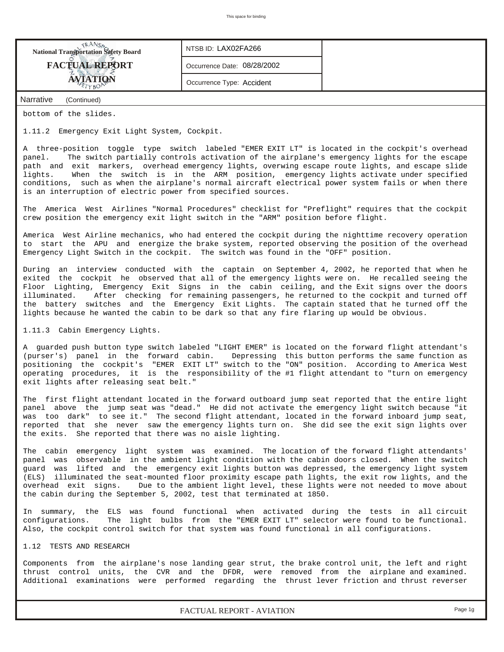| <b>National Transportation Safety Board</b> | NTSB ID: LAX02FA266         |  |
|---------------------------------------------|-----------------------------|--|
| <b>FACTUAL REPORT</b>                       | Occurrence Date: 08/28/2002 |  |
| <b>ÁVIATION</b>                             | Occurrence Type: Accident   |  |
| Narrative<br>(Continued)                    |                             |  |

bottom of the slides.

1.11.2 Emergency Exit Light System, Cockpit.

A three-position toggle type switch labeled "EMER EXIT LT" is located in the cockpit's overhead panel. The switch partially controls activation of the airplane's emergency lights for the escape path and exit markers, overhead emergency lights, overwing escape route lights, and escape slide lights. When the switch is in the ARM position, emergency lights activate under specified conditions, such as when the airplane's normal aircraft electrical power system fails or when there is an interruption of electric power from specified sources.

The America West Airlines "Normal Procedures" checklist for "Preflight" requires that the cockpit crew position the emergency exit light switch in the "ARM" position before flight.

America West Airline mechanics, who had entered the cockpit during the nighttime recovery operation to start the APU and energize the brake system, reported observing the position of the overhead Emergency Light Switch in the cockpit. The switch was found in the "OFF" position.

During an interview conducted with the captain on September 4, 2002, he reported that when he exited the cockpit he observed that all of the emergency lights were on. He recalled seeing the Floor Lighting, Emergency Exit Signs in the cabin ceiling, and the Exit signs over the doors illuminated. After checking for remaining passengers, he returned to the cockpit and turned off the battery switches and the Emergency Exit Lights. The captain stated that he turned off the lights because he wanted the cabin to be dark so that any fire flaring up would be obvious.

1.11.3 Cabin Emergency Lights.

A guarded push button type switch labeled "LIGHT EMER" is located on the forward flight attendant's (purser's) panel in the forward cabin. Depressing this button performs the same function as positioning the cockpit's "EMER EXIT LT" switch to the "ON" position. According to America West operating procedures, it is the responsibility of the #1 flight attendant to "turn on emergency exit lights after releasing seat belt."

The first flight attendant located in the forward outboard jump seat reported that the entire light panel above the jump seat was "dead." He did not activate the emergency light switch because "it was too dark" to see it." The second flight attendant, located in the forward inboard jump seat, reported that she never saw the emergency lights turn on. She did see the exit sign lights over the exits. She reported that there was no aisle lighting.

The cabin emergency light system was examined. The location of the forward flight attendants' panel was observable in the ambient light condition with the cabin doors closed. When the switch guard was lifted and the emergency exit lights button was depressed, the emergency light system (ELS) illuminated the seat-mounted floor proximity escape path lights, the exit row lights, and the overhead exit signs. Due to the ambient light level, these lights were not needed to move about the cabin during the September 5, 2002, test that terminated at 1850.

In summary, the ELS was found functional when activated during the tests in all circuit configurations. The light bulbs from the "EMER EXIT LT" selector were found to be functional. Also, the cockpit control switch for that system was found functional in all configurations.

## 1.12 TESTS AND RESEARCH

Components from the airplane's nose landing gear strut, the brake control unit, the left and right thrust control units, the CVR and the DFDR, were removed from the airplane and examined. Additional examinations were performed regarding the thrust lever friction and thrust reverser

*FACTUAL REPORT - AVIATION Page 1g*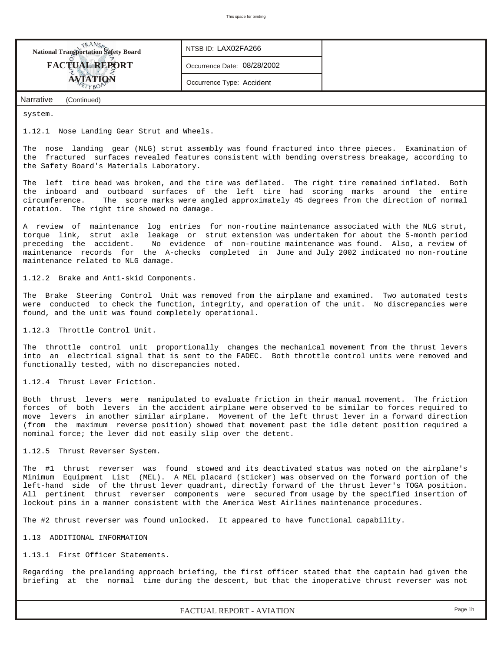| <b>National Transportation Safety Board</b>                                                                                                                                                                                                                                                                                                                                                                                                                                                              | NTSB ID: LAX02FA266                                                                   |  |  |  |  |  |  |  |  |
|----------------------------------------------------------------------------------------------------------------------------------------------------------------------------------------------------------------------------------------------------------------------------------------------------------------------------------------------------------------------------------------------------------------------------------------------------------------------------------------------------------|---------------------------------------------------------------------------------------|--|--|--|--|--|--|--|--|
| <b>FACTUAL REPORT</b>                                                                                                                                                                                                                                                                                                                                                                                                                                                                                    | Occurrence Date: 08/28/2002                                                           |  |  |  |  |  |  |  |  |
| AVIATION<br>TYBO                                                                                                                                                                                                                                                                                                                                                                                                                                                                                         | Occurrence Type: Accident                                                             |  |  |  |  |  |  |  |  |
| <b>Narrative</b><br>(Continued)                                                                                                                                                                                                                                                                                                                                                                                                                                                                          |                                                                                       |  |  |  |  |  |  |  |  |
| system.                                                                                                                                                                                                                                                                                                                                                                                                                                                                                                  |                                                                                       |  |  |  |  |  |  |  |  |
| 1.12.1 Nose Landing Gear Strut and Wheels.                                                                                                                                                                                                                                                                                                                                                                                                                                                               |                                                                                       |  |  |  |  |  |  |  |  |
| The nose landing gear (NLG) strut assembly was found fractured into three pieces. Examination of<br>the fractured surfaces revealed features consistent with bending overstress breakage, according to<br>the Safety Board's Materials Laboratory.                                                                                                                                                                                                                                                       |                                                                                       |  |  |  |  |  |  |  |  |
| The left tire bead was broken, and the tire was deflated. The right tire remained inflated. Both<br>the inboard and outboard surfaces of the left tire had scoring marks around the entire<br>circumference.<br>The score marks were angled approximately 45 degrees from the direction of normal<br>rotation. The right tire showed no damage.                                                                                                                                                          |                                                                                       |  |  |  |  |  |  |  |  |
| A review of maintenance log entries for non-routine maintenance associated with the NLG strut,<br>torque link, strut axle leakage or strut extension was undertaken for about the 5-month period<br>preceding the accident. No evidence of non-routine maintenance was found. Also, a review of<br>maintenance records for the A-checks completed in June and July 2002 indicated no non-routine<br>maintenance related to NLG damage.                                                                   |                                                                                       |  |  |  |  |  |  |  |  |
| 1.12.2 Brake and Anti-skid Components.                                                                                                                                                                                                                                                                                                                                                                                                                                                                   |                                                                                       |  |  |  |  |  |  |  |  |
| The Brake Steering Control Unit was removed from the airplane and examined. Two automated tests<br>were conducted to check the function, integrity, and operation of the unit. No discrepancies were<br>found, and the unit was found completely operational.                                                                                                                                                                                                                                            |                                                                                       |  |  |  |  |  |  |  |  |
| 1.12.3 Throttle Control Unit.                                                                                                                                                                                                                                                                                                                                                                                                                                                                            |                                                                                       |  |  |  |  |  |  |  |  |
| The throttle control unit proportionally changes the mechanical movement from the thrust levers<br>into an electrical signal that is sent to the FADEC. Both throttle control units were removed and<br>functionally tested, with no discrepancies noted.                                                                                                                                                                                                                                                |                                                                                       |  |  |  |  |  |  |  |  |
| 1.12.4 Thrust Lever Friction.                                                                                                                                                                                                                                                                                                                                                                                                                                                                            |                                                                                       |  |  |  |  |  |  |  |  |
| Both thrust levers were manipulated to evaluate friction in their manual movement. The friction<br>forces of both levers in the accident airplane were observed to be similar to forces required to<br>move levers in another similar airplane. Movement of the left thrust lever in a forward direction<br>(from the maximum reverse position) showed that movement past the idle detent position required a<br>nominal force; the lever did not easily slip over the detent.                           |                                                                                       |  |  |  |  |  |  |  |  |
| 1.12.5 Thrust Reverser System.                                                                                                                                                                                                                                                                                                                                                                                                                                                                           |                                                                                       |  |  |  |  |  |  |  |  |
| The #1 thrust reverser was found stowed and its deactivated status was noted on the airplane's<br>Minimum Equipment List (MEL). A MEL placard (sticker) was observed on the forward portion of the<br>left-hand side of the thrust lever quadrant, directly forward of the thrust lever's TOGA position.<br>All pertinent thrust reverser components were secured from usage by the specified insertion of<br>lockout pins in a manner consistent with the America West Airlines maintenance procedures. |                                                                                       |  |  |  |  |  |  |  |  |
|                                                                                                                                                                                                                                                                                                                                                                                                                                                                                                          | The #2 thrust reverser was found unlocked. It appeared to have functional capability. |  |  |  |  |  |  |  |  |
| 1.13 ADDITIONAL INFORMATION                                                                                                                                                                                                                                                                                                                                                                                                                                                                              |                                                                                       |  |  |  |  |  |  |  |  |
| 1.13.1 First Officer Statements.                                                                                                                                                                                                                                                                                                                                                                                                                                                                         |                                                                                       |  |  |  |  |  |  |  |  |
| Regarding the prelanding approach briefing, the first officer stated that the captain had given the<br>briefing at the normal time during the descent, but that the inoperative thrust reverser was not                                                                                                                                                                                                                                                                                                  |                                                                                       |  |  |  |  |  |  |  |  |

*FACTUAL REPORT - AVIATION Page 1h*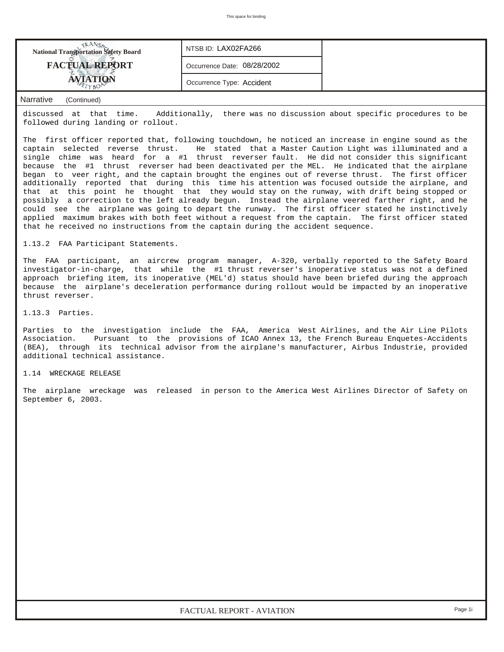

discussed at that time. Additionally, there was no discussion about specific procedures to be followed during landing or rollout.

The first officer reported that, following touchdown, he noticed an increase in engine sound as the captain selected reverse thrust. He stated that a Master Caution Light was illuminated and a single chime was heard for a #1 thrust reverser fault. He did not consider this significant because the #1 thrust reverser had been deactivated per the MEL. He indicated that the airplane began to veer right, and the captain brought the engines out of reverse thrust. The first officer additionally reported that during this time his attention was focused outside the airplane, and that at this point he thought that they would stay on the runway, with drift being stopped or possibly a correction to the left already begun. Instead the airplane veered farther right, and he could see the airplane was going to depart the runway. The first officer stated he instinctively applied maximum brakes with both feet without a request from the captain. The first officer stated that he received no instructions from the captain during the accident sequence.

1.13.2 FAA Participant Statements.

The FAA participant, an aircrew program manager, A-320, verbally reported to the Safety Board investigator-in-charge, that while the #1 thrust reverser's inoperative status was not a defined approach briefing item, its inoperative (MEL'd) status should have been briefed during the approach because the airplane's deceleration performance during rollout would be impacted by an inoperative thrust reverser.

1.13.3 Parties.

Parties to the investigation include the FAA, America West Airlines, and the Air Line Pilots Association. Pursuant to the provisions of ICAO Annex 13, the French Bureau Enquetes-Accidents (BEA), through its technical advisor from the airplane's manufacturer, Airbus Industrie, provided additional technical assistance.

### 1.14 WRECKAGE RELEASE

The airplane wreckage was released in person to the America West Airlines Director of Safety on September 6, 2003.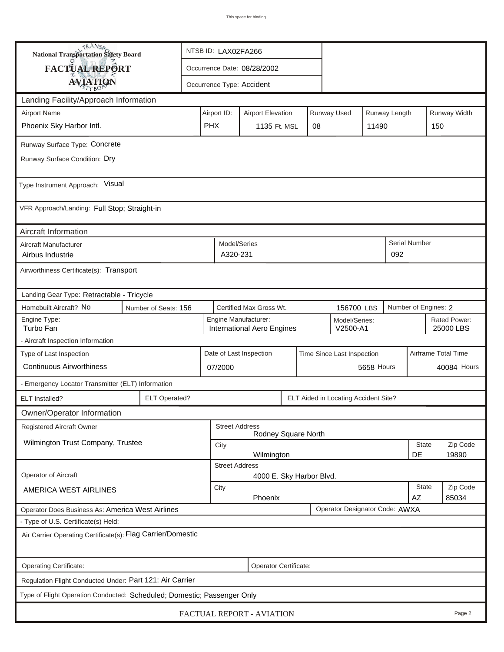| <b>National Transportation Safety Board</b>                             |                      | NTSB ID: LAX02FA266                                   |                                                    |                          |                                      |       |                             |              |                           |  |
|-------------------------------------------------------------------------|----------------------|-------------------------------------------------------|----------------------------------------------------|--------------------------|--------------------------------------|-------|-----------------------------|--------------|---------------------------|--|
| <b>FACTUAL REPORT</b>                                                   |                      |                                                       | Occurrence Date: 08/28/2002                        |                          |                                      |       |                             |              |                           |  |
| <b>AVIATION</b>                                                         |                      |                                                       | Occurrence Type: Accident                          |                          |                                      |       |                             |              |                           |  |
| Landing Facility/Approach Information                                   |                      |                                                       |                                                    |                          |                                      |       |                             |              |                           |  |
| <b>Airport Name</b>                                                     |                      | Airport ID:                                           | <b>Airport Elevation</b>                           |                          | Runway Used                          |       | Runway Length               |              | Runway Width              |  |
| Phoenix Sky Harbor Intl.                                                |                      | <b>PHX</b>                                            | 1135 Ft. MSL                                       | 08                       |                                      | 11490 |                             | 150          |                           |  |
| Runway Surface Type: Concrete                                           |                      |                                                       |                                                    |                          |                                      |       |                             |              |                           |  |
| Runway Surface Condition: Dry                                           |                      |                                                       |                                                    |                          |                                      |       |                             |              |                           |  |
| Type Instrument Approach: Visual                                        |                      |                                                       |                                                    |                          |                                      |       |                             |              |                           |  |
| VFR Approach/Landing: Full Stop; Straight-in                            |                      |                                                       |                                                    |                          |                                      |       |                             |              |                           |  |
| Aircraft Information                                                    |                      |                                                       |                                                    |                          |                                      |       |                             |              |                           |  |
| Aircraft Manufacturer<br>Airbus Industrie                               |                      |                                                       | Model/Series<br>A320-231                           |                          |                                      |       | <b>Serial Number</b><br>092 |              |                           |  |
| Airworthiness Certificate(s): Transport                                 |                      |                                                       |                                                    |                          |                                      |       |                             |              |                           |  |
| Landing Gear Type: Retractable - Tricycle                               |                      |                                                       |                                                    |                          |                                      |       |                             |              |                           |  |
| Homebuilt Aircraft? No<br>Number of Seats: 156                          |                      |                                                       | Certified Max Gross Wt.                            |                          | 156700 LBS                           |       | Number of Engines: 2        |              |                           |  |
| Engine Type:<br>Turbo Fan                                               |                      |                                                       | Engine Manufacturer:<br>International Aero Engines |                          | Model/Series:<br>V2500-A1            |       |                             |              | Rated Power:<br>25000 LBS |  |
| - Aircraft Inspection Information                                       |                      |                                                       |                                                    |                          |                                      |       |                             |              |                           |  |
| Type of Last Inspection                                                 |                      | Date of Last Inspection<br>Time Since Last Inspection |                                                    |                          |                                      |       |                             |              | Airframe Total Time       |  |
| <b>Continuous Airworthiness</b>                                         |                      | 5658 Hours<br>07/2000                                 |                                                    |                          |                                      |       | 40084 Hours                 |              |                           |  |
| - Emergency Locator Transmitter (ELT) Information                       |                      |                                                       |                                                    |                          |                                      |       |                             |              |                           |  |
| ELT Installed?                                                          | <b>ELT Operated?</b> |                                                       |                                                    |                          | ELT Aided in Locating Accident Site? |       |                             |              |                           |  |
| Owner/Operator Information                                              |                      |                                                       |                                                    |                          |                                      |       |                             |              |                           |  |
| Registered Aircraft Owner                                               |                      |                                                       | <b>Street Address</b>                              | Rodney Square North      |                                      |       |                             |              |                           |  |
| Wilmington Trust Company, Trustee                                       |                      | City                                                  |                                                    |                          |                                      |       |                             | <b>State</b> | Zip Code                  |  |
|                                                                         |                      | DE<br>19890<br>Wilmington<br><b>Street Address</b>    |                                                    |                          |                                      |       |                             |              |                           |  |
| <b>Operator of Aircraft</b>                                             |                      |                                                       |                                                    | 4000 E. Sky Harbor Blvd. |                                      |       |                             |              |                           |  |
| AMERICA WEST AIRLINES                                                   |                      | City                                                  | Phoenix                                            |                          |                                      |       | AΖ                          | State        | Zip Code<br>85034         |  |
| Operator Does Business As: America West Airlines                        |                      |                                                       |                                                    |                          | Operator Designator Code: AWXA       |       |                             |              |                           |  |
| - Type of U.S. Certificate(s) Held:                                     |                      |                                                       |                                                    |                          |                                      |       |                             |              |                           |  |
| Air Carrier Operating Certificate(s): Flag Carrier/Domestic             |                      |                                                       |                                                    |                          |                                      |       |                             |              |                           |  |
| Operating Certificate:                                                  |                      |                                                       | Operator Certificate:                              |                          |                                      |       |                             |              |                           |  |
| Regulation Flight Conducted Under: Part 121: Air Carrier                |                      |                                                       |                                                    |                          |                                      |       |                             |              |                           |  |
| Type of Flight Operation Conducted: Scheduled; Domestic; Passenger Only |                      |                                                       |                                                    |                          |                                      |       |                             |              |                           |  |
| FACTUAL REPORT - AVIATION<br>Page 2                                     |                      |                                                       |                                                    |                          |                                      |       |                             |              |                           |  |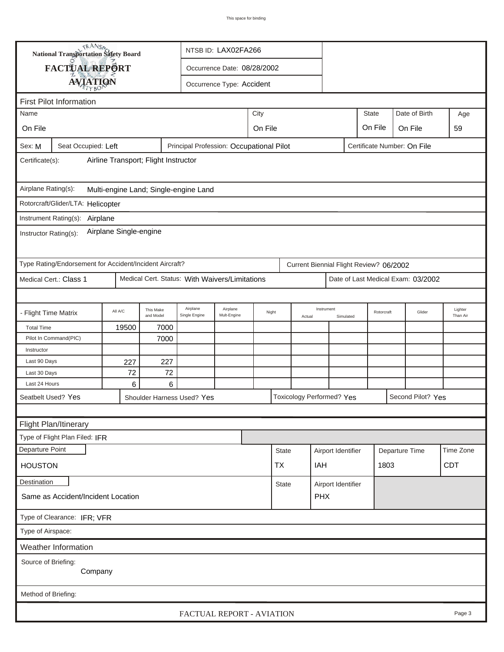|                                                                                        | <b>National Transportation Safety Board</b>             |             |                                     |                                                | NTSB ID: LAX02FA266       |  |              |        |                                         |           |                             |                |                                    |                     |
|----------------------------------------------------------------------------------------|---------------------------------------------------------|-------------|-------------------------------------|------------------------------------------------|---------------------------|--|--------------|--------|-----------------------------------------|-----------|-----------------------------|----------------|------------------------------------|---------------------|
|                                                                                        | FACTUAL REPORT                                          |             |                                     | Occurrence Date: 08/28/2002                    |                           |  |              |        |                                         |           |                             |                |                                    |                     |
|                                                                                        | <b>AVIATION</b>                                         |             |                                     |                                                | Occurrence Type: Accident |  |              |        |                                         |           |                             |                |                                    |                     |
|                                                                                        |                                                         |             |                                     |                                                |                           |  |              |        |                                         |           |                             |                |                                    |                     |
| <b>First Pilot Information</b><br>Date of Birth<br>City<br><b>State</b><br>Name<br>Age |                                                         |             |                                     |                                                |                           |  |              |        |                                         |           |                             |                |                                    |                     |
|                                                                                        |                                                         |             |                                     |                                                |                           |  |              |        |                                         |           |                             |                |                                    |                     |
| On File                                                                                |                                                         |             | On File<br>On File<br>On File<br>59 |                                                |                           |  |              |        |                                         |           |                             |                |                                    |                     |
| Sex: M                                                                                 | Seat Occupied: Left                                     |             |                                     | Principal Profession: Occupational Pilot       |                           |  |              |        |                                         |           | Certificate Number: On File |                |                                    |                     |
| Airline Transport; Flight Instructor<br>Certificate(s):                                |                                                         |             |                                     |                                                |                           |  |              |        |                                         |           |                             |                |                                    |                     |
| Airplane Rating(s):<br>Multi-engine Land; Single-engine Land                           |                                                         |             |                                     |                                                |                           |  |              |        |                                         |           |                             |                |                                    |                     |
| Rotorcraft/Glider/LTA: Helicopter                                                      |                                                         |             |                                     |                                                |                           |  |              |        |                                         |           |                             |                |                                    |                     |
|                                                                                        | Instrument Rating(s):<br>Airplane                       |             |                                     |                                                |                           |  |              |        |                                         |           |                             |                |                                    |                     |
| Airplane Single-engine<br>Instructor Rating(s):                                        |                                                         |             |                                     |                                                |                           |  |              |        |                                         |           |                             |                |                                    |                     |
|                                                                                        | Type Rating/Endorsement for Accident/Incident Aircraft? |             |                                     |                                                |                           |  |              |        | Current Biennial Flight Review? 06/2002 |           |                             |                |                                    |                     |
|                                                                                        | Medical Cert.: Class 1                                  |             |                                     | Medical Cert. Status: With Waivers/Limitations |                           |  |              |        |                                         |           |                             |                | Date of Last Medical Exam: 03/2002 |                     |
|                                                                                        |                                                         |             |                                     |                                                |                           |  |              |        |                                         |           |                             |                |                                    |                     |
| - Flight Time Matrix                                                                   |                                                         | All A/C     | This Make<br>and Model              | Airplane<br>Single Engine                      | Airplane<br>Mult-Engine   |  | Night        | Actual | Instrument                              | Simulated | Rotorcraft                  |                | Glider                             | Lighter<br>Than Air |
| <b>Total Time</b>                                                                      |                                                         | 19500       | 7000                                |                                                |                           |  |              |        |                                         |           |                             |                |                                    |                     |
|                                                                                        | Pilot In Command(PIC)                                   |             | 7000                                |                                                |                           |  |              |        |                                         |           |                             |                |                                    |                     |
| Instructor                                                                             |                                                         |             |                                     |                                                |                           |  |              |        |                                         |           |                             |                |                                    |                     |
| Last 90 Days                                                                           |                                                         | 227         | 227                                 |                                                |                           |  |              |        |                                         |           |                             |                |                                    |                     |
| Last 30 Days<br>Last 24 Hours                                                          |                                                         | 72<br>$\,6$ | 72<br>6                             |                                                |                           |  |              |        |                                         |           |                             |                |                                    |                     |
|                                                                                        | Seatbelt Used? Yes                                      |             |                                     | Shoulder Harness Used? Yes                     |                           |  |              |        | <b>Toxicology Performed? Yes</b>        |           |                             |                | Second Pilot? Yes                  |                     |
|                                                                                        |                                                         |             |                                     |                                                |                           |  |              |        |                                         |           |                             |                |                                    |                     |
|                                                                                        |                                                         |             |                                     |                                                |                           |  |              |        |                                         |           |                             |                |                                    |                     |
|                                                                                        | Flight Plan/Itinerary<br>Type of Flight Plan Filed: IFR |             |                                     |                                                |                           |  |              |        |                                         |           |                             |                |                                    |                     |
| Departure Point                                                                        |                                                         |             |                                     |                                                |                           |  | <b>State</b> |        |                                         |           |                             |                |                                    | Time Zone           |
|                                                                                        |                                                         |             |                                     |                                                |                           |  |              |        | Airport Identifier                      |           | 1803                        | Departure Time |                                    |                     |
| <b>HOUSTON</b>                                                                         |                                                         |             |                                     |                                                |                           |  | <b>TX</b>    |        | IAH                                     |           |                             |                |                                    | <b>CDT</b>          |
| Destination                                                                            |                                                         |             |                                     |                                                |                           |  | <b>State</b> |        | Airport Identifier                      |           |                             |                |                                    |                     |
|                                                                                        | Same as Accident/Incident Location                      |             |                                     |                                                |                           |  |              |        | <b>PHX</b>                              |           |                             |                |                                    |                     |
|                                                                                        | Type of Clearance: IFR; VFR                             |             |                                     |                                                |                           |  |              |        |                                         |           |                             |                |                                    |                     |
| Type of Airspace:                                                                      |                                                         |             |                                     |                                                |                           |  |              |        |                                         |           |                             |                |                                    |                     |
|                                                                                        | Weather Information                                     |             |                                     |                                                |                           |  |              |        |                                         |           |                             |                |                                    |                     |
| Source of Briefing:<br>Company                                                         |                                                         |             |                                     |                                                |                           |  |              |        |                                         |           |                             |                |                                    |                     |
| Method of Briefing:                                                                    |                                                         |             |                                     |                                                |                           |  |              |        |                                         |           |                             |                |                                    |                     |
| FACTUAL REPORT - AVIATION<br>Page 3                                                    |                                                         |             |                                     |                                                |                           |  |              |        |                                         |           |                             |                |                                    |                     |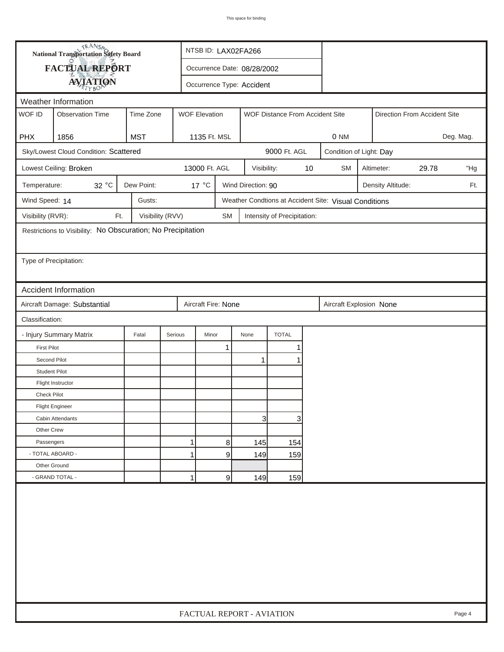|                        | <b>National Transportation Safety Board</b>                  |                  |                           | NTSB ID: LAX02FA266         |                    |                                 |      |                                                       |                   |                              |           |
|------------------------|--------------------------------------------------------------|------------------|---------------------------|-----------------------------|--------------------|---------------------------------|------|-------------------------------------------------------|-------------------|------------------------------|-----------|
|                        | FACTUAL REPORT                                               |                  |                           | Occurrence Date: 08/28/2002 |                    |                                 |      |                                                       |                   |                              |           |
|                        | <b>AVIATION</b>                                              |                  |                           | Occurrence Type: Accident   |                    |                                 |      |                                                       |                   |                              |           |
|                        | Weather Information                                          |                  |                           |                             |                    |                                 |      |                                                       |                   |                              |           |
| WOF ID                 | <b>Observation Time</b>                                      | Time Zone        | <b>WOF Elevation</b>      |                             |                    | WOF Distance From Accident Site |      |                                                       |                   | Direction From Accident Site |           |
| <b>PHX</b>             | 1856                                                         | <b>MST</b>       | 1135 Ft. MSL              |                             |                    |                                 |      | 0 NM                                                  |                   |                              | Deg. Mag. |
|                        | Sky/Lowest Cloud Condition: Scattered                        |                  |                           |                             |                    | 9000 Ft. AGL                    |      | Condition of Light: Day                               |                   |                              |           |
|                        | Lowest Ceiling: Broken                                       |                  | 13000 Ft. AGL             |                             | Visibility:        |                                 | $10$ | <b>SM</b>                                             | Altimeter:        | 29.78                        | "Hg       |
| Temperature:           | $32\,^{\circ}\textrm{C}$                                     | Dew Point:       | 17 °C                     |                             | Wind Direction: 90 |                                 |      |                                                       | Density Altitude: |                              | Ft.       |
| Wind Speed: 14         |                                                              | Gusts:           |                           |                             |                    |                                 |      | Weather Condtions at Accident Site: Visual Conditions |                   |                              |           |
| Visibility (RVR):      | Ft.                                                          | Visibility (RVV) |                           | <b>SM</b>                   |                    | Intensity of Precipitation:     |      |                                                       |                   |                              |           |
|                        | Restrictions to Visibility: No Obscuration; No Precipitation |                  |                           |                             |                    |                                 |      |                                                       |                   |                              |           |
|                        |                                                              |                  |                           |                             |                    |                                 |      |                                                       |                   |                              |           |
| Type of Precipitation: |                                                              |                  |                           |                             |                    |                                 |      |                                                       |                   |                              |           |
|                        |                                                              |                  |                           |                             |                    |                                 |      |                                                       |                   |                              |           |
|                        | <b>Accident Information</b>                                  |                  |                           |                             |                    |                                 |      |                                                       |                   |                              |           |
|                        | Aircraft Damage: Substantial                                 |                  | Aircraft Fire: None       |                             |                    |                                 |      | Aircraft Explosion None                               |                   |                              |           |
| Classification:        |                                                              |                  |                           |                             |                    |                                 |      |                                                       |                   |                              |           |
|                        | - Injury Summary Matrix                                      | Fatal            | Minor<br>Serious          |                             | None               | <b>TOTAL</b>                    |      |                                                       |                   |                              |           |
| <b>First Pilot</b>     |                                                              |                  |                           | 1                           |                    | 1                               |      |                                                       |                   |                              |           |
| Second Pilot           |                                                              |                  |                           |                             | 1                  | 1                               |      |                                                       |                   |                              |           |
| <b>Student Pilot</b>   |                                                              |                  |                           |                             |                    |                                 |      |                                                       |                   |                              |           |
|                        | Flight Instructor                                            |                  |                           |                             |                    |                                 |      |                                                       |                   |                              |           |
| <b>Check Pilot</b>     |                                                              |                  |                           |                             |                    |                                 |      |                                                       |                   |                              |           |
|                        | <b>Flight Engineer</b>                                       |                  |                           |                             |                    |                                 |      |                                                       |                   |                              |           |
|                        | Cabin Attendants                                             |                  |                           |                             | 3                  | 3                               |      |                                                       |                   |                              |           |
| Other Crew             |                                                              |                  |                           |                             |                    |                                 |      |                                                       |                   |                              |           |
| Passengers             |                                                              |                  | 1                         | 8                           | 145                | 154                             |      |                                                       |                   |                              |           |
| - TOTAL ABOARD -       |                                                              |                  | $\mathbf{1}$              | 9                           | 149                | 159                             |      |                                                       |                   |                              |           |
| Other Ground           |                                                              |                  |                           |                             |                    |                                 |      |                                                       |                   |                              |           |
|                        | - GRAND TOTAL -                                              |                  | 1                         | 9                           | 149                | 159                             |      |                                                       |                   |                              |           |
|                        |                                                              |                  |                           |                             |                    |                                 |      |                                                       |                   |                              |           |
|                        |                                                              |                  | FACTUAL REPORT - AVIATION |                             |                    |                                 |      |                                                       |                   |                              | Page 4    |